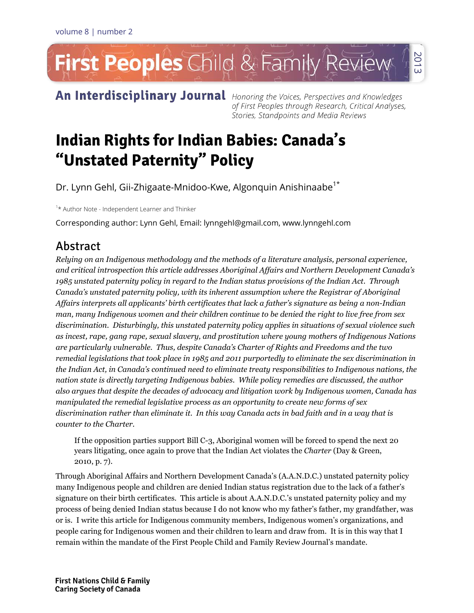# First Peoples Child & Family Review 2013

An Interdisciplinary Journal Honoring the Voices, Perspectives and Knowledges

of First Peoples through Research, Critical Analyses, Stories, Standpoints and Media Reviews

# **Indian Rights for Indian Babies: Canada's "Unstated Paternity" Policy**

Dr. Lynn Gehl, Gii-Zhigaate-Mnidoo-Kwe, Algonquin Anishinaabe<sup>1\*</sup>

<sup>1</sup>\* Author Note - Independent Learner and Thinker

Corresponding author: Lynn Gehl, Email: lynngehl@gmail.com, www.lynngehl.com

# Abstract

*Relying on an Indigenous methodology and the methods of a literature analysis, personal experience, and critical introspection this article addresses Aboriginal Affairs and Northern Development Canada's 1985 unstated paternity policy in regard to the Indian status provisions of the Indian Act. Through Canada's unstated paternity policy, with its inherent assumption where the Registrar of Aboriginal Affairs interprets all applicants' birth certificates that lack a father's signature as being a non-Indian man, many Indigenous women and their children continue to be denied the right to live free from sex discrimination. Disturbingly, this unstated paternity policy applies in situations of sexual violence such as incest, rape, gang rape, sexual slavery, and prostitution where young mothers of Indigenous Nations are particularly vulnerable. Thus, despite Canada's Charter of Rights and Freedoms and the two remedial legislations that took place in 1985 and 2011 purportedly to eliminate the sex discrimination in the Indian Act, in Canada's continued need to eliminate treaty responsibilities to Indigenous nations, the nation state is directly targeting Indigenous babies. While policy remedies are discussed, the author also argues that despite the decades of advocacy and litigation work by Indigenous women, Canada has manipulated the remedial legislative process as an opportunity to create new forms of sex discrimination rather than eliminate it. In this way Canada acts in bad faith and in a way that is counter to the Charter.*

If the opposition parties support Bill C-3, Aboriginal women will be forced to spend the next 20 years litigating, once again to prove that the Indian Act violates the *Charter* (Day & Green, 2010, p. 7).

Through Aboriginal Affairs and Northern Development Canada's (A.A.N.D.C.) unstated paternity policy many Indigenous people and children are denied Indian status registration due to the lack of a father's signature on their birth certificates. This article is about A.A.N.D.C.'s unstated paternity policy and my process of being denied Indian status because I do not know who my father's father, my grandfather, was or is. I write this article for Indigenous community members, Indigenous women's organizations, and people caring for Indigenous women and their children to learn and draw from. It is in this way that I remain within the mandate of the First People Child and Family Review Journal's mandate.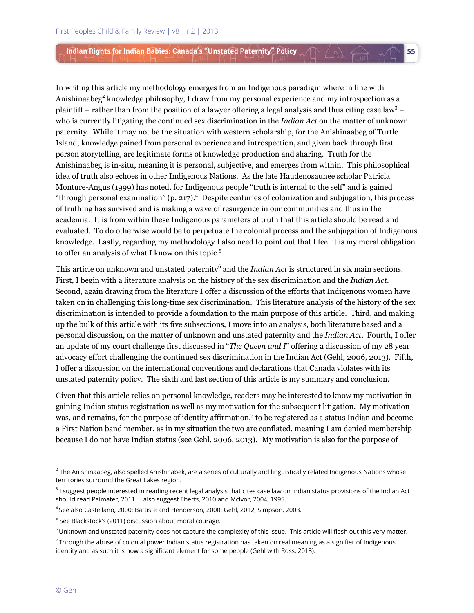In writing this article my methodology emerges from an Indigenous paradigm where in line with Anishinaabeg<sup>2</sup> knowledge philosophy, I draw from my personal experience and my introspection as a plaintiff – rather than from the position of a lawyer offering a legal analysis and thus citing case law<sup>3</sup> – who is currently litigating the continued sex discrimination in the *Indian Act* on the matter of unknown paternity. While it may not be the situation with western scholarship, for the Anishinaabeg of Turtle Island, knowledge gained from personal experience and introspection, and given back through first person storytelling, are legitimate forms of knowledge production and sharing. Truth for the Anishinaabeg is in-situ, meaning it is personal, subjective, and emerges from within. This philosophical idea of truth also echoes in other Indigenous Nations. As the late Haudenosaunee scholar Patricia Monture-Angus (1999) has noted, for Indigenous people "truth is internal to the self" and is gained "through personal examination" (p. 217).<sup>4</sup> Despite centuries of colonization and subjugation, this process of truthing has survived and is making a wave of resurgence in our communities and thus in the academia. It is from within these Indigenous parameters of truth that this article should be read and evaluated. To do otherwise would be to perpetuate the colonial process and the subjugation of Indigenous knowledge. Lastly, regarding my methodology I also need to point out that I feel it is my moral obligation to offer an analysis of what I know on this topic.<sup>5</sup>

**55**

This article on unknown and unstated paternity<sup>6</sup> and the *Indian Act* is structured in six main sections. First, I begin with a literature analysis on the history of the sex discrimination and the *Indian Act*. Second, again drawing from the literature I offer a discussion of the efforts that Indigenous women have taken on in challenging this long-time sex discrimination. This literature analysis of the history of the sex discrimination is intended to provide a foundation to the main purpose of this article. Third, and making up the bulk of this article with its five subsections, I move into an analysis, both literature based and a personal discussion, on the matter of unknown and unstated paternity and the *Indian Act*. Fourth, I offer an update of my court challenge first discussed in "*The Queen and I*" offering a discussion of my 28 year advocacy effort challenging the continued sex discrimination in the Indian Act (Gehl, 2006, 2013). Fifth, I offer a discussion on the international conventions and declarations that Canada violates with its unstated paternity policy. The sixth and last section of this article is my summary and conclusion.

Given that this article relies on personal knowledge, readers may be interested to know my motivation in gaining Indian status registration as well as my motivation for the subsequent litigation. My motivation was, and remains, for the purpose of identity affirmation, $7$  to be registered as a status Indian and become a First Nation band member, as in my situation the two are conflated, meaning I am denied membership because I do not have Indian status (see Gehl, 2006, 2013). My motivation is also for the purpose of

 $^{\rm 2}$  The Anishinaabeg, also spelled Anishinabek, are a series of culturally and linguistically related Indigenous Nations whose territories surround the Great Lakes region.

<sup>&</sup>lt;sup>3</sup> I suggest people interested in reading recent legal analysis that cites case law on Indian status provisions of the Indian Act should read Palmater, 2011. I also suggest Eberts, 2010 and McIvor, 2004, 1995.

<sup>4</sup> See also Castellano, 2000; Battiste and Henderson, 2000; Gehl, 2012; Simpson, 2003.

<sup>&</sup>lt;sup>5</sup> See Blackstock's (2011) discussion about moral courage.

 $6$  Unknown and unstated paternity does not capture the complexity of this issue. This article will flesh out this very matter.

 $^7$ Through the abuse of colonial power Indian status registration has taken on real meaning as a signifier of Indigenous identity and as such it is now a significant element for some people (Gehl with Ross, 2013).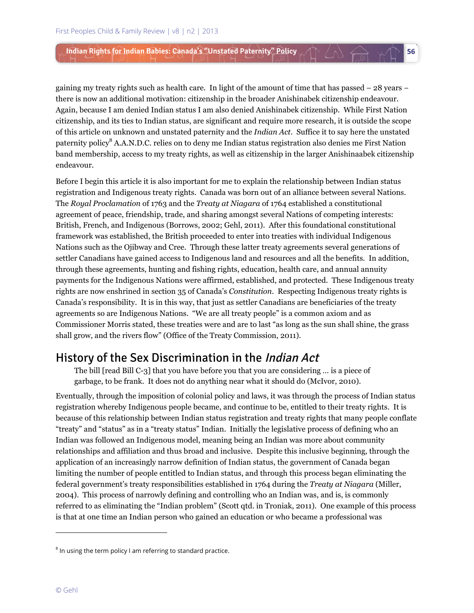gaining my treaty rights such as health care. In light of the amount of time that has passed – 28 years − there is now an additional motivation: citizenship in the broader Anishinabek citizenship endeavour. Again, because I am denied Indian status I am also denied Anishinabek citizenship. While First Nation citizenship, and its ties to Indian status, are significant and require more research, it is outside the scope of this article on unknown and unstated paternity and the *Indian Act*. Suffice it to say here the unstated paternity policy<sup>8</sup> A.A.N.D.C. relies on to deny me Indian status registration also denies me First Nation band membership, access to my treaty rights, as well as citizenship in the larger Anishinaabek citizenship endeavour.

**56**

Before I begin this article it is also important for me to explain the relationship between Indian status registration and Indigenous treaty rights. Canada was born out of an alliance between several Nations. The *Royal Proclamation* of 1763 and the *Treaty at Niagara* of 1764 established a constitutional agreement of peace, friendship, trade, and sharing amongst several Nations of competing interests: British, French, and Indigenous (Borrows, 2002; Gehl, 2011). After this foundational constitutional framework was established, the British proceeded to enter into treaties with individual Indigenous Nations such as the Ojibway and Cree. Through these latter treaty agreements several generations of settler Canadians have gained access to Indigenous land and resources and all the benefits. In addition, through these agreements, hunting and fishing rights, education, health care, and annual annuity payments for the Indigenous Nations were affirmed, established, and protected. These Indigenous treaty rights are now enshrined in section 35 of Canada's *Constitution*. Respecting Indigenous treaty rights is Canada's responsibility. It is in this way, that just as settler Canadians are beneficiaries of the treaty agreements so are Indigenous Nations. "We are all treaty people" is a common axiom and as Commissioner Morris stated, these treaties were and are to last "as long as the sun shall shine, the grass shall grow, and the rivers flow" (Office of the Treaty Commission, 2011).

### History of the Sex Discrimination in the Indian Act

The bill [read Bill C-3] that you have before you that you are considering … is a piece of garbage, to be frank. It does not do anything near what it should do (McIvor, 2010).

Eventually, through the imposition of colonial policy and laws, it was through the process of Indian status registration whereby Indigenous people became, and continue to be, entitled to their treaty rights. It is because of this relationship between Indian status registration and treaty rights that many people conflate "treaty" and "status" as in a "treaty status" Indian. Initially the legislative process of defining who an Indian was followed an Indigenous model, meaning being an Indian was more about community relationships and affiliation and thus broad and inclusive. Despite this inclusive beginning, through the application of an increasingly narrow definition of Indian status, the government of Canada began limiting the number of people entitled to Indian status, and through this process began eliminating the federal government's treaty responsibilities established in 1764 during the *Treaty at Niagara* (Miller, 2004). This process of narrowly defining and controlling who an Indian was, and is, is commonly referred to as eliminating the "Indian problem" (Scott qtd. in Troniak, 2011). One example of this process is that at one time an Indian person who gained an education or who became a professional was

 $^8$  In using the term policy I am referring to standard practice.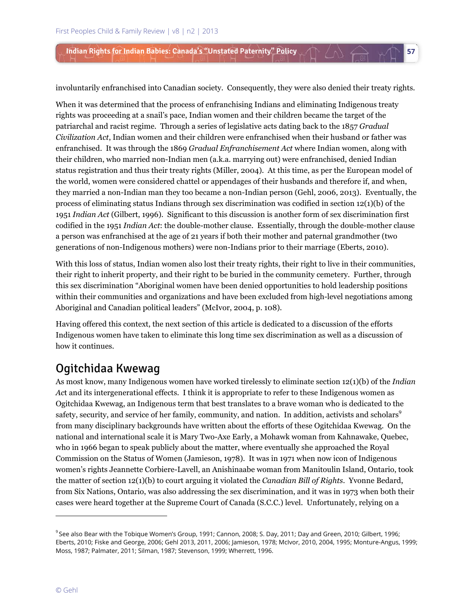involuntarily enfranchised into Canadian society. Consequently, they were also denied their treaty rights.

**57**

When it was determined that the process of enfranchising Indians and eliminating Indigenous treaty rights was proceeding at a snail's pace, Indian women and their children became the target of the patriarchal and racist regime. Through a series of legislative acts dating back to the 1857 *Gradual Civilization Act*, Indian women and their children were enfranchised when their husband or father was enfranchised. It was through the 1869 *Gradual Enfranchisement Act* where Indian women, along with their children, who married non-Indian men (a.k.a. marrying out) were enfranchised, denied Indian status registration and thus their treaty rights (Miller, 2004). At this time, as per the European model of the world, women were considered chattel or appendages of their husbands and therefore if, and when, they married a non-Indian man they too became a non-Indian person (Gehl, 2006, 2013). Eventually, the process of eliminating status Indians through sex discrimination was codified in section 12(1)(b) of the 1951 *Indian Act* (Gilbert, 1996). Significant to this discussion is another form of sex discrimination first codified in the 1951 *Indian Act*: the double-mother clause. Essentially, through the double-mother clause a person was enfranchised at the age of 21 years if both their mother and paternal grandmother (two generations of non-Indigenous mothers) were non-Indians prior to their marriage (Eberts, 2010).

With this loss of status, Indian women also lost their treaty rights, their right to live in their communities, their right to inherit property, and their right to be buried in the community cemetery. Further, through this sex discrimination "Aboriginal women have been denied opportunities to hold leadership positions within their communities and organizations and have been excluded from high-level negotiations among Aboriginal and Canadian political leaders" (McIvor, 2004, p. 108).

Having offered this context, the next section of this article is dedicated to a discussion of the efforts Indigenous women have taken to eliminate this long time sex discrimination as well as a discussion of how it continues.

# Ogitchidaa Kwewag

As most know, many Indigenous women have worked tirelessly to eliminate section 12(1)(b) of the *Indian Ac*t and its intergenerational effects. I think it is appropriate to refer to these Indigenous women as Ogitchidaa Kwewag, an Indigenous term that best translates to a brave woman who is dedicated to the safety, security, and service of her family, community, and nation. In addition, activists and scholars<sup>9</sup> from many disciplinary backgrounds have written about the efforts of these Ogitchidaa Kwewag. On the national and international scale it is Mary Two-Axe Early, a Mohawk woman from Kahnawake, Quebec, who in 1966 began to speak publicly about the matter, where eventually she approached the Royal Commission on the Status of Women (Jamieson, 1978). It was in 1971 when now icon of Indigenous women's rights Jeannette Corbiere-Lavell, an Anishinaabe woman from Manitoulin Island, Ontario, took the matter of section 12(1)(b) to court arguing it violated the *Canadian Bill of Rights*. Yvonne Bedard, from Six Nations, Ontario, was also addressing the sex discrimination, and it was in 1973 when both their cases were heard together at the Supreme Court of Canada (S.C.C.) level. Unfortunately, relying on a

<sup>&</sup>lt;sup>9</sup> See also Bear with the Tobique Women's Group, 1991; Cannon, 2008; S. Day, 2011; Day and Green, 2010; Gilbert, 1996; Eberts, 2010; Fiske and George, 2006; Gehl 2013, 2011, 2006; Jamieson, 1978; McIvor, 2010, 2004, 1995; Monture-Angus, 1999; Moss, 1987; Palmater, 2011; Silman, 1987; Stevenson, 1999; Wherrett, 1996.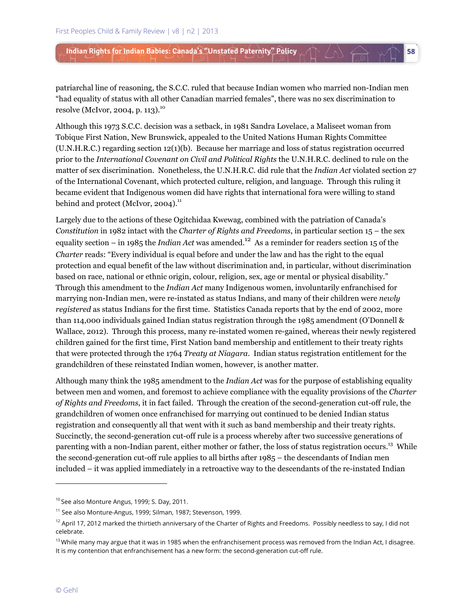patriarchal line of reasoning, the S.C.C. ruled that because Indian women who married non-Indian men "had equality of status with all other Canadian married females", there was no sex discrimination to resolve (McIvor, 2004, p. 113).<sup>10</sup>

**58**

Although this 1973 S.C.C. decision was a setback, in 1981 Sandra Lovelace, a Maliseet woman from Tobique First Nation, New Brunswick, appealed to the United Nations Human Rights Committee (U.N.H.R.C.) regarding section 12(1)(b). Because her marriage and loss of status registration occurred prior to the *International Covenant on Civil and Political Rights* the U.N.H.R.C. declined to rule on the matter of sex discrimination. Nonetheless, the U.N.H.R.C. did rule that the *Indian Act* violated section 27 of the International Covenant, which protected culture, religion, and language. Through this ruling it became evident that Indigenous women did have rights that international fora were willing to stand behind and protect (McIvor, 2004). $^{11}$ 

Largely due to the actions of these Ogitchidaa Kwewag, combined with the patriation of Canada's *Constitution* in 1982 intact with the *Charter of Rights and Freedoms*, in particular section 15 – the sex equality section – in 1985 the *Indian Act* was amended.<sup>12</sup> As a reminder for readers section 15 of the *Charter* reads: "Every individual is equal before and under the law and has the right to the equal protection and equal benefit of the law without discrimination and, in particular, without discrimination based on race, national or ethnic origin, colour, religion, sex, age or mental or physical disability." Through this amendment to the *Indian Act* many Indigenous women, involuntarily enfranchised for marrying non-Indian men, were re-instated as status Indians, and many of their children were *newly registered* as status Indians for the first time. Statistics Canada reports that by the end of 2002, more than 114,000 individuals gained Indian status registration through the 1985 amendment (O'Donnell & Wallace, 2012). Through this process, many re-instated women re-gained, whereas their newly registered children gained for the first time, First Nation band membership and entitlement to their treaty rights that were protected through the 1764 *Treaty at Niagara*. Indian status registration entitlement for the grandchildren of these reinstated Indian women, however, is another matter.

Although many think the 1985 amendment to the *Indian Act* was for the purpose of establishing equality between men and women, and foremost to achieve compliance with the equality provisions of the *Charter of Rights and Freedoms*, it in fact failed. Through the creation of the second-generation cut-off rule, the grandchildren of women once enfranchised for marrying out continued to be denied Indian status registration and consequently all that went with it such as band membership and their treaty rights. Succinctly, the second-generation cut-off rule is a process whereby after two successive generations of parenting with a non-Indian parent, either mother or father, the loss of status registration occurs.<sup>13</sup> While the second-generation cut-off rule applies to all births after 1985 – the descendants of Indian men included – it was applied immediately in a retroactive way to the descendants of the re-instated Indian

<sup>&</sup>lt;sup>10</sup> See also Monture Angus, 1999; S. Day, 2011.

<sup>&</sup>lt;sup>11</sup> See also Monture-Angus, 1999; Silman, 1987; Stevenson, 1999.

 $12$  April 17, 2012 marked the thirtieth anniversary of the Charter of Rights and Freedoms. Possibly needless to say, I did not celebrate.

 $13$  While many may argue that it was in 1985 when the enfranchisement process was removed from the Indian Act, I disagree. It is my contention that enfranchisement has a new form: the second-generation cut-off rule.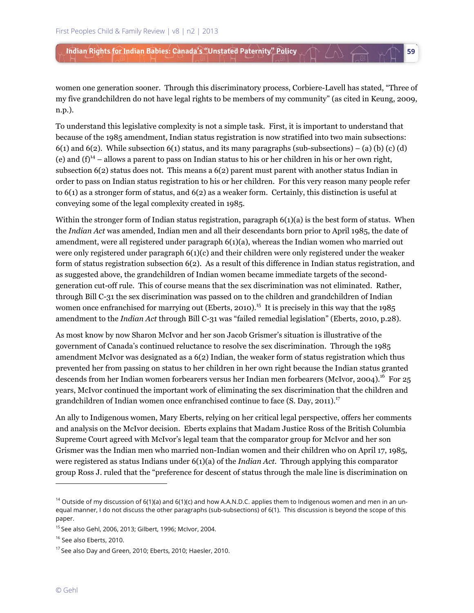women one generation sooner. Through this discriminatory process, Corbiere-Lavell has stated, "Three of my five grandchildren do not have legal rights to be members of my community" (as cited in Keung, 2009, n.p.).

**59**

To understand this legislative complexity is not a simple task. First, it is important to understand that because of the 1985 amendment, Indian status registration is now stratified into two main subsections: 6(1) and 6(2). While subsection 6(1) status, and its many paragraphs (sub-subsections) – (a) (b) (c) (d) (e) and  $(f)^{14}$  – allows a parent to pass on Indian status to his or her children in his or her own right, subsection 6(2) status does not. This means a 6(2) parent must parent with another status Indian in order to pass on Indian status registration to his or her children. For this very reason many people refer to 6(1) as a stronger form of status, and 6(2) as a weaker form. Certainly, this distinction is useful at conveying some of the legal complexity created in 1985.

Within the stronger form of Indian status registration, paragraph  $6(1)(a)$  is the best form of status. When the *Indian Act* was amended, Indian men and all their descendants born prior to April 1985, the date of amendment, were all registered under paragraph 6(1)(a), whereas the Indian women who married out were only registered under paragraph  $6(1)(c)$  and their children were only registered under the weaker form of status registration subsection 6(2). As a result of this difference in Indian status registration, and as suggested above, the grandchildren of Indian women became immediate targets of the secondgeneration cut-off rule. This of course means that the sex discrimination was not eliminated. Rather, through Bill C-31 the sex discrimination was passed on to the children and grandchildren of Indian women once enfranchised for marrying out (Eberts, 2010).<sup>15</sup> It is precisely in this way that the 1985 amendment to the *Indian Act* through Bill C-31 was "failed remedial legislation" (Eberts, 2010, p.28).

As most know by now Sharon McIvor and her son Jacob Grismer's situation is illustrative of the government of Canada's continued reluctance to resolve the sex discrimination. Through the 1985 amendment McIvor was designated as a 6(2) Indian, the weaker form of status registration which thus prevented her from passing on status to her children in her own right because the Indian status granted descends from her Indian women forbearers versus her Indian men forbearers (McIvor, 2004).<sup>16</sup> For 25 years, McIvor continued the important work of eliminating the sex discrimination that the children and grandchildren of Indian women once enfranchised continue to face  $(S. Day, 2011).<sup>17</sup>$ 

An ally to Indigenous women, Mary Eberts, relying on her critical legal perspective, offers her comments and analysis on the McIvor decision. Eberts explains that Madam Justice Ross of the British Columbia Supreme Court agreed with McIvor's legal team that the comparator group for McIvor and her son Grismer was the Indian men who married non-Indian women and their children who on April 17, 1985, were registered as status Indians under 6(1)(a) of the *Indian Act.* Through applying this comparator group Ross J. ruled that the "preference for descent of status through the male line is discrimination on

<sup>&</sup>lt;sup>14</sup> Outside of my discussion of 6(1)(a) and 6(1)(c) and how A.A.N.D.C. applies them to Indigenous women and men in an unequal manner, I do not discuss the other paragraphs (sub-subsections) of 6(1). This discussion is beyond the scope of this paper.

<sup>15</sup> See also Gehl, 2006, 2013; Gilbert, 1996; McIvor, 2004.

<sup>&</sup>lt;sup>16</sup> See also Eberts, 2010.

<sup>&</sup>lt;sup>17</sup> See also Day and Green, 2010; Eberts, 2010; Haesler, 2010.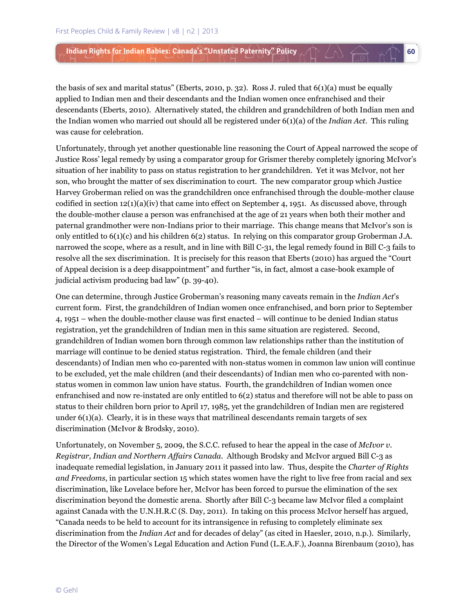the basis of sex and marital status" (Eberts, 2010, p. 32). Ross J. ruled that 6(1)(a) must be equally applied to Indian men and their descendants and the Indian women once enfranchised and their descendants (Eberts, 2010). Alternatively stated, the children and grandchildren of both Indian men and the Indian women who married out should all be registered under 6(1)(a) of the *Indian Act*. This ruling was cause for celebration.

**60**

 $LN \ominus \rightarrow \vee$ 

Unfortunately, through yet another questionable line reasoning the Court of Appeal narrowed the scope of Justice Ross' legal remedy by using a comparator group for Grismer thereby completely ignoring McIvor's situation of her inability to pass on status registration to her grandchildren. Yet it was McIvor, not her son, who brought the matter of sex discrimination to court. The new comparator group which Justice Harvey Groberman relied on was the grandchildren once enfranchised through the double-mother clause codified in section  $12(1)(a)(iv)$  that came into effect on September 4, 1951. As discussed above, through the double-mother clause a person was enfranchised at the age of 21 years when both their mother and paternal grandmother were non-Indians prior to their marriage. This change means that McIvor's son is only entitled to 6(1)(c) and his children 6(2) status. In relying on this comparator group Groberman J.A. narrowed the scope, where as a result, and in line with Bill C-31, the legal remedy found in Bill C-3 fails to resolve all the sex discrimination. It is precisely for this reason that Eberts (2010) has argued the "Court of Appeal decision is a deep disappointment" and further "is, in fact, almost a case-book example of judicial activism producing bad law" (p. 39-40).

One can determine, through Justice Groberman's reasoning many caveats remain in the *Indian Act*'s current form. First, the grandchildren of Indian women once enfranchised, and born prior to September 4, 1951 – when the double-mother clause was first enacted – will continue to be denied Indian status registration, yet the grandchildren of Indian men in this same situation are registered. Second, grandchildren of Indian women born through common law relationships rather than the institution of marriage will continue to be denied status registration. Third, the female children (and their descendants) of Indian men who co-parented with non-status women in common law union will continue to be excluded, yet the male children (and their descendants) of Indian men who co-parented with nonstatus women in common law union have status. Fourth, the grandchildren of Indian women once enfranchised and now re-instated are only entitled to 6(2) status and therefore will not be able to pass on status to their children born prior to April 17, 1985, yet the grandchildren of Indian men are registered under  $6(1)(a)$ . Clearly, it is in these ways that matrilineal descendants remain targets of sex discrimination (McIvor & Brodsky, 2010).

Unfortunately, on November 5, 2009, the S.C.C. refused to hear the appeal in the case of *McIvor v. Registrar, Indian and Northern Affairs Canada.* Although Brodsky and McIvor argued Bill C-3 as inadequate remedial legislation, in January 2011 it passed into law. Thus, despite the *Charter of Rights and Freedoms*, in particular section 15 which states women have the right to live free from racial and sex discrimination, like Lovelace before her, McIvor has been forced to pursue the elimination of the sex discrimination beyond the domestic arena. Shortly after Bill C-3 became law McIvor filed a complaint against Canada with the U.N.H.R.C (S. Day, 2011). In taking on this process McIvor herself has argued, "Canada needs to be held to account for its intransigence in refusing to completely eliminate sex discrimination from the *Indian Act* and for decades of delay" (as cited in Haesler, 2010, n.p.). Similarly, the Director of the Women's Legal Education and Action Fund (L.E.A.F.), Joanna Birenbaum (2010), has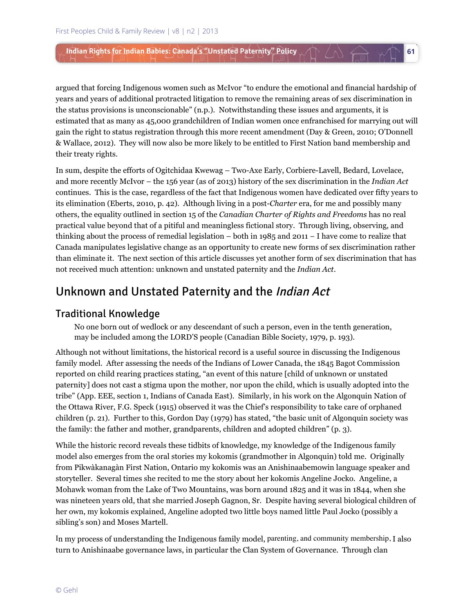argued that forcing Indigenous women such as McIvor "to endure the emotional and financial hardship of years and years of additional protracted litigation to remove the remaining areas of sex discrimination in the status provisions is unconscionable" (n.p.). Notwithstanding these issues and arguments, it is estimated that as many as 45,000 grandchildren of Indian women once enfranchised for marrying out will gain the right to status registration through this more recent amendment (Day & Green, 2010; O'Donnell & Wallace, 2012). They will now also be more likely to be entitled to First Nation band membership and their treaty rights.

**61**

In sum, despite the efforts of Ogitchidaa Kwewag – Two-Axe Early, Corbiere-Lavell, Bedard, Lovelace, and more recently McIvor – the 156 year (as of 2013) history of the sex discrimination in the *Indian Act* continues. This is the case, regardless of the fact that Indigenous women have dedicated over fifty years to its elimination (Eberts, 2010, p. 42). Although living in a post-*Charter* era, for me and possibly many others, the equality outlined in section 15 of the *Canadian Charter of Rights and Freedoms* has no real practical value beyond that of a pitiful and meaningless fictional story. Through living, observing, and thinking about the process of remedial legislation – both in 1985 and 2011 − I have come to realize that Canada manipulates legislative change as an opportunity to create new forms of sex discrimination rather than eliminate it. The next section of this article discusses yet another form of sex discrimination that has not received much attention: unknown and unstated paternity and the *Indian Act*.

## Unknown and Unstated Paternity and the Indian Act

#### Traditional Knowledge

No one born out of wedlock or any descendant of such a person, even in the tenth generation, may be included among the LORD'S people (Canadian Bible Society, 1979, p. 193).

Although not without limitations, the historical record is a useful source in discussing the Indigenous family model. After assessing the needs of the Indians of Lower Canada, the 1845 Bagot Commission reported on child rearing practices stating, "an event of this nature [child of unknown or unstated paternity] does not cast a stigma upon the mother, nor upon the child, which is usually adopted into the tribe" (App. EEE, section 1, Indians of Canada East). Similarly, in his work on the Algonquin Nation of the Ottawa River, F.G. Speck (1915) observed it was the Chief's responsibility to take care of orphaned children (p. 21). Further to this, Gordon Day (1979) has stated, "the basic unit of Algonquin society was the family: the father and mother, grandparents, children and adopted children" (p. 3).

While the historic record reveals these tidbits of knowledge, my knowledge of the Indigenous family model also emerges from the oral stories my kokomis (grandmother in Algonquin) told me. Originally from Pikwàkanagàn First Nation, Ontario my kokomis was an Anishinaabemowin language speaker and storyteller. Several times she recited to me the story about her kokomis Angeline Jocko. Angeline, a Mohawk woman from the Lake of Two Mountains, was born around 1825 and it was in 1844, when she was nineteen years old, that she married Joseph Gagnon, Sr. Despite having several biological children of her own, my kokomis explained, Angeline adopted two little boys named little Paul Jocko (possibly a sibling's son) and Moses Martell.

In my process of understanding the Indigenous family model, parenting, and community membership, I also turn to Anishinaabe governance laws, in particular the Clan System of Governance. Through clan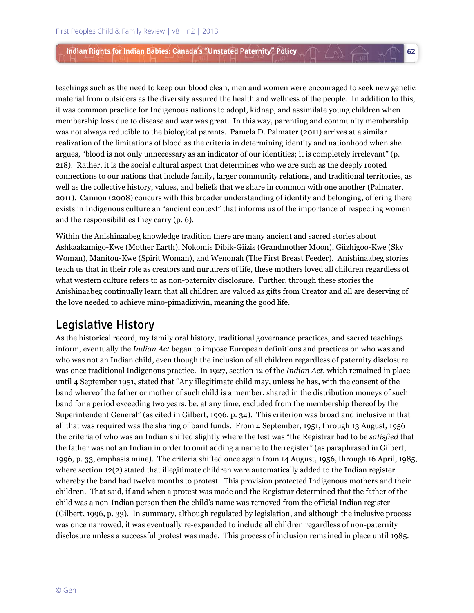teachings such as the need to keep our blood clean, men and women were encouraged to seek new genetic material from outsiders as the diversity assured the health and wellness of the people. In addition to this, it was common practice for Indigenous nations to adopt, kidnap, and assimilate young children when membership loss due to disease and war was great. In this way, parenting and community membership was not always reducible to the biological parents. Pamela D. Palmater (2011) arrives at a similar realization of the limitations of blood as the criteria in determining identity and nationhood when she argues, "blood is not only unnecessary as an indicator of our identities; it is completely irrelevant" (p. 218). Rather, it is the social cultural aspect that determines who we are such as the deeply rooted connections to our nations that include family, larger community relations, and traditional territories, as well as the collective history, values, and beliefs that we share in common with one another (Palmater, 2011). Cannon (2008) concurs with this broader understanding of identity and belonging, offering there exists in Indigenous culture an "ancient context" that informs us of the importance of respecting women and the responsibilities they carry (p. 6).

**62**

Within the Anishinaabeg knowledge tradition there are many ancient and sacred stories about Ashkaakamigo-Kwe (Mother Earth), Nokomis Dibik-Giizis (Grandmother Moon), Giizhigoo-Kwe (Sky Woman), Manitou-Kwe (Spirit Woman), and Wenonah (The First Breast Feeder). Anishinaabeg stories teach us that in their role as creators and nurturers of life, these mothers loved all children regardless of what western culture refers to as non-paternity disclosure. Further, through these stories the Anishinaabeg continually learn that all children are valued as gifts from Creator and all are deserving of the love needed to achieve mino-pimadiziwin, meaning the good life.

### Legislative History

As the historical record, my family oral history, traditional governance practices, and sacred teachings inform, eventually the *Indian Act* began to impose European definitions and practices on who was and who was not an Indian child, even though the inclusion of all children regardless of paternity disclosure was once traditional Indigenous practice. In 1927, section 12 of the *Indian Act*, which remained in place until 4 September 1951, stated that "Any illegitimate child may, unless he has, with the consent of the band whereof the father or mother of such child is a member, shared in the distribution moneys of such band for a period exceeding two years, be, at any time, excluded from the membership thereof by the Superintendent General" (as cited in Gilbert, 1996, p. 34). This criterion was broad and inclusive in that all that was required was the sharing of band funds. From 4 September, 1951, through 13 August, 1956 the criteria of who was an Indian shifted slightly where the test was "the Registrar had to be *satisfied* that the father was not an Indian in order to omit adding a name to the register" (as paraphrased in Gilbert, 1996, p. 33, emphasis mine). The criteria shifted once again from 14 August, 1956, through 16 April, 1985, where section 12(2) stated that illegitimate children were automatically added to the Indian register whereby the band had twelve months to protest. This provision protected Indigenous mothers and their children. That said, if and when a protest was made and the Registrar determined that the father of the child was a non-Indian person then the child's name was removed from the official Indian register (Gilbert, 1996, p. 33). In summary, although regulated by legislation, and although the inclusive process was once narrowed, it was eventually re-expanded to include all children regardless of non-paternity disclosure unless a successful protest was made. This process of inclusion remained in place until 1985.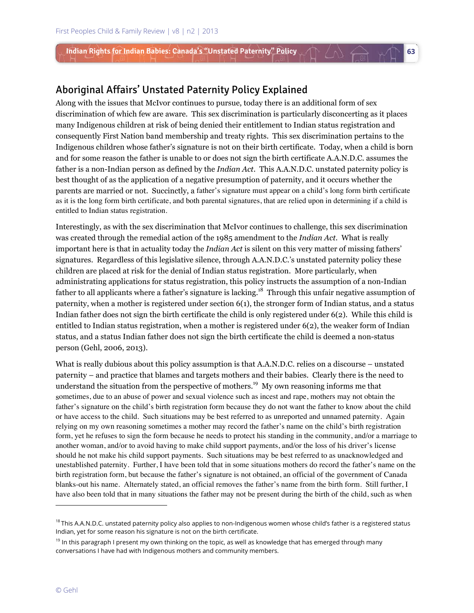### Aboriginal Affairs' Unstated Paternity Policy Explained

Along with the issues that McIvor continues to pursue, today there is an additional form of sex discrimination of which few are aware. This sex discrimination is particularly disconcerting as it places many Indigenous children at risk of being denied their entitlement to Indian status registration and consequently First Nation band membership and treaty rights. This sex discrimination pertains to the Indigenous children whose father's signature is not on their birth certificate. Today, when a child is born and for some reason the father is unable to or does not sign the birth certificate A.A.N.D.C. assumes the father is a non-Indian person as defined by the *Indian Act*. This A.A.N.D.C. unstated paternity policy is best thought of as the application of a negative presumption of paternity, and it occurs whether the parents are married or not. Succinctly, a father's signature must appear on a child's long form birth certificate as it is the long form birth certificate, and both parental signatures, that are relied upon in determining if a child is entitled to Indian status registration.

**63**

Interestingly, as with the sex discrimination that McIvor continues to challenge, this sex discrimination was created through the remedial action of the 1985 amendment to the *Indian Act*. What is really important here is that in actuality today the *Indian Act* is silent on this very matter of missing fathers' signatures. Regardless of this legislative silence, through A.A.N.D.C.'s unstated paternity policy these children are placed at risk for the denial of Indian status registration. More particularly, when administrating applications for status registration, this policy instructs the assumption of a non-Indian father to all applicants where a father's signature is lacking.<sup>18</sup> Through this unfair negative assumption of paternity, when a mother is registered under section 6(1), the stronger form of Indian status, and a status Indian father does not sign the birth certificate the child is only registered under 6(2). While this child is entitled to Indian status registration, when a mother is registered under 6(2), the weaker form of Indian status, and a status Indian father does not sign the birth certificate the child is deemed a non-status person (Gehl, 2006, 2013).

What is really dubious about this policy assumption is that A.A.N.D.C. relies on a discourse – unstated paternity – and practice that blames and targets mothers and their babies. Clearly there is the need to understand the situation from the perspective of mothers.<sup>19</sup> My own reasoning informs me that sometimes, due to an abuse of power and sexual violence such as incest and rape, mothers may not obtain the father's signature on the child's birth registration form because they do not want the father to know about the child or have access to the child. Such situations may be best referred to as unreported and unnamed paternity. Again relying on my own reasoning sometimes a mother may record the father's name on the child's birth registration form, yet he refuses to sign the form because he needs to protect his standing in the community, and/or a marriage to another woman, and/or to avoid having to make child support payments, and/or the loss of his driver's license should he not make his child support payments. Such situations may be best referred to as unacknowledged and unestablished paternity. Further, I have been told that in some situations mothers do record the father's name on the birth registration form, but because the father's signature is not obtained, an official of the government of Canada blanks-out his name. Alternately stated, an official removes the father's name from the birth form. Still further, I have also been told that in many situations the father may not be present during the birth of the child, such as when

<sup>&</sup>lt;sup>18</sup> This A.A.N.D.C. unstated paternity policy also applies to non-Indigenous women whose child's father is a registered status Indian, yet for some reason his signature is not on the birth certificate.

 $19$  In this paragraph I present my own thinking on the topic, as well as knowledge that has emerged through many conversations I have had with Indigenous mothers and community members.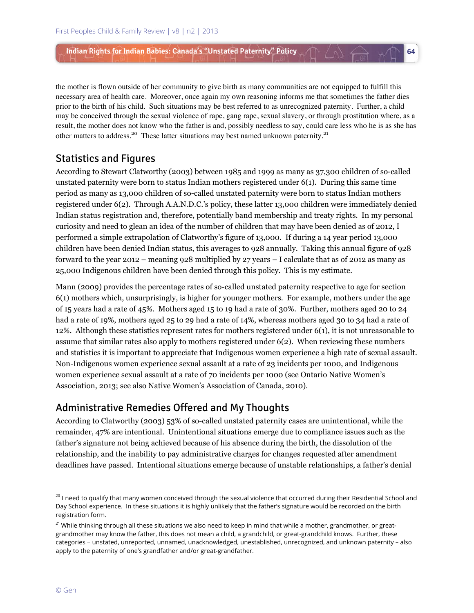the mother is flown outside of her community to give birth as many communities are not equipped to fulfill this necessary area of health care. Moreover, once again my own reasoning informs me that sometimes the father dies prior to the birth of his child. Such situations may be best referred to as unrecognized paternity. Further, a child may be conceived through the sexual violence of rape, gang rape, sexual slavery, or through prostitution where, as a result, the mother does not know who the father is and, possibly needless to say, could care less who he is as she has other matters to address.<sup>20</sup> These latter situations may best named unknown paternity.<sup>21</sup>

**64**

### Statistics and Figures

According to Stewart Clatworthy (2003) between 1985 and 1999 as many as 37,300 children of so-called unstated paternity were born to status Indian mothers registered under 6(1). During this same time period as many as 13,000 children of so-called unstated paternity were born to status Indian mothers registered under 6(2). Through A.A.N.D.C.'s policy, these latter 13,000 children were immediately denied Indian status registration and, therefore, potentially band membership and treaty rights. In my personal curiosity and need to glean an idea of the number of children that may have been denied as of 2012, I performed a simple extrapolation of Clatworthy's figure of 13,000. If during a 14 year period 13,000 children have been denied Indian status, this averages to 928 annually. Taking this annual figure of 928 forward to the year 2012 – meaning 928 multiplied by 27 years – I calculate that as of 2012 as many as 25,000 Indigenous children have been denied through this policy. This is my estimate.

Mann (2009) provides the percentage rates of so-called unstated paternity respective to age for section 6(1) mothers which, unsurprisingly, is higher for younger mothers. For example, mothers under the age of 15 years had a rate of 45%. Mothers aged 15 to 19 had a rate of 30%. Further, mothers aged 20 to 24 had a rate of 19%, mothers aged 25 to 29 had a rate of 14%, whereas mothers aged 30 to 34 had a rate of 12%. Although these statistics represent rates for mothers registered under 6(1), it is not unreasonable to assume that similar rates also apply to mothers registered under 6(2). When reviewing these numbers and statistics it is important to appreciate that Indigenous women experience a high rate of sexual assault. Non-Indigenous women experience sexual assault at a rate of 23 incidents per 1000, and Indigenous women experience sexual assault at a rate of 70 incidents per 1000 (see Ontario Native Women's Association, 2013; see also Native Women's Association of Canada, 2010).

#### Administrative Remedies Offered and My Thoughts

According to Clatworthy (2003) 53% of so-called unstated paternity cases are unintentional, while the remainder, 47% are intentional. Unintentional situations emerge due to compliance issues such as the father's signature not being achieved because of his absence during the birth, the dissolution of the relationship, and the inability to pay administrative charges for changes requested after amendment deadlines have passed. Intentional situations emerge because of unstable relationships, a father's denial

<sup>&</sup>lt;sup>20</sup> I need to qualify that many women conceived through the sexual violence that occurred during their Residential School and Day School experience. In these situations it is highly unlikely that the father's signature would be recorded on the birth registration form.

<sup>&</sup>lt;sup>21</sup> While thinking through all these situations we also need to keep in mind that while a mother, grandmother, or greatgrandmother may know the father, this does not mean a child, a grandchild, or great-grandchild knows. Further, these categories − unstated, unreported, unnamed, unacknowledged, unestablished, unrecognized, and unknown paternity – also apply to the paternity of one's grandfather and/or great-grandfather.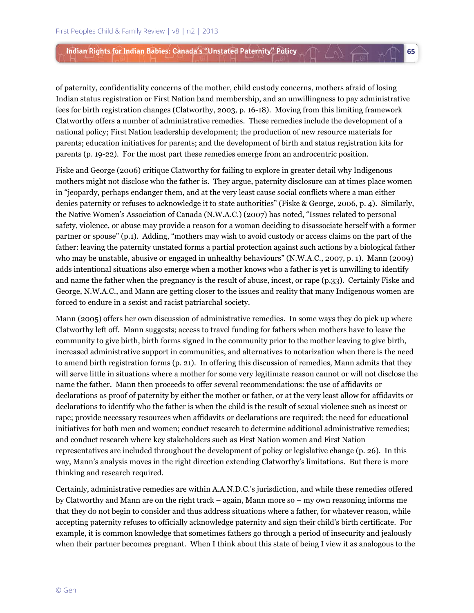of paternity, confidentiality concerns of the mother, child custody concerns, mothers afraid of losing Indian status registration or First Nation band membership, and an unwillingness to pay administrative fees for birth registration changes (Clatworthy, 2003, p. 16-18). Moving from this limiting framework Clatworthy offers a number of administrative remedies. These remedies include the development of a national policy; First Nation leadership development; the production of new resource materials for parents; education initiatives for parents; and the development of birth and status registration kits for parents (p. 19-22). For the most part these remedies emerge from an androcentric position.

**65**

 $\triangle$   $\triangle$ 

Fiske and George (2006) critique Clatworthy for failing to explore in greater detail why Indigenous mothers might not disclose who the father is. They argue, paternity disclosure can at times place women in "jeopardy, perhaps endanger them, and at the very least cause social conflicts where a man either denies paternity or refuses to acknowledge it to state authorities" (Fiske & George, 2006, p. 4). Similarly, the Native Women's Association of Canada (N.W.A.C.) (2007) has noted, "Issues related to personal safety, violence, or abuse may provide a reason for a woman deciding to disassociate herself with a former partner or spouse" (p.1). Adding, "mothers may wish to avoid custody or access claims on the part of the father: leaving the paternity unstated forms a partial protection against such actions by a biological father who may be unstable, abusive or engaged in unhealthy behaviours" (N.W.A.C., 2007, p. 1). Mann (2009) adds intentional situations also emerge when a mother knows who a father is yet is unwilling to identify and name the father when the pregnancy is the result of abuse, incest, or rape (p.33). Certainly Fiske and George, N.W.A.C., and Mann are getting closer to the issues and reality that many Indigenous women are forced to endure in a sexist and racist patriarchal society.

Mann (2005) offers her own discussion of administrative remedies. In some ways they do pick up where Clatworthy left off. Mann suggests; access to travel funding for fathers when mothers have to leave the community to give birth, birth forms signed in the community prior to the mother leaving to give birth, increased administrative support in communities, and alternatives to notarization when there is the need to amend birth registration forms (p. 21). In offering this discussion of remedies, Mann admits that they will serve little in situations where a mother for some very legitimate reason cannot or will not disclose the name the father. Mann then proceeds to offer several recommendations: the use of affidavits or declarations as proof of paternity by either the mother or father, or at the very least allow for affidavits or declarations to identify who the father is when the child is the result of sexual violence such as incest or rape; provide necessary resources when affidavits or declarations are required; the need for educational initiatives for both men and women; conduct research to determine additional administrative remedies; and conduct research where key stakeholders such as First Nation women and First Nation representatives are included throughout the development of policy or legislative change (p. 26). In this way, Mann's analysis moves in the right direction extending Clatworthy's limitations. But there is more thinking and research required.

Certainly, administrative remedies are within A.A.N.D.C.'s jurisdiction, and while these remedies offered by Clatworthy and Mann are on the right track – again, Mann more so – my own reasoning informs me that they do not begin to consider and thus address situations where a father, for whatever reason, while accepting paternity refuses to officially acknowledge paternity and sign their child's birth certificate. For example, it is common knowledge that sometimes fathers go through a period of insecurity and jealously when their partner becomes pregnant. When I think about this state of being I view it as analogous to the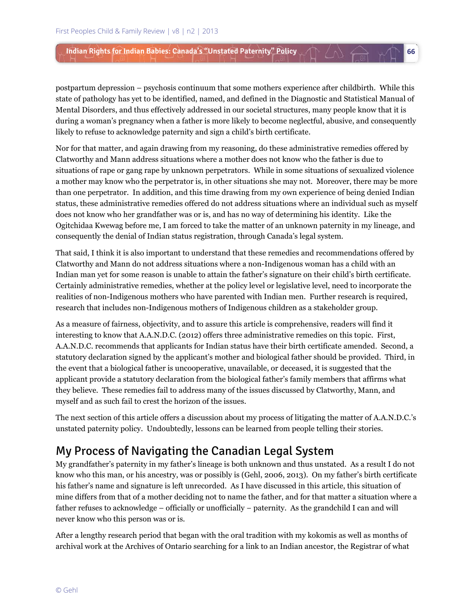postpartum depression – psychosis continuum that some mothers experience after childbirth. While this state of pathology has yet to be identified, named, and defined in the Diagnostic and Statistical Manual of Mental Disorders, and thus effectively addressed in our societal structures, many people know that it is during a woman's pregnancy when a father is more likely to become neglectful, abusive, and consequently likely to refuse to acknowledge paternity and sign a child's birth certificate.

**66**

 $\omega \leftrightarrow$ 

Nor for that matter, and again drawing from my reasoning, do these administrative remedies offered by Clatworthy and Mann address situations where a mother does not know who the father is due to situations of rape or gang rape by unknown perpetrators. While in some situations of sexualized violence a mother may know who the perpetrator is, in other situations she may not. Moreover, there may be more than one perpetrator. In addition, and this time drawing from my own experience of being denied Indian status, these administrative remedies offered do not address situations where an individual such as myself does not know who her grandfather was or is, and has no way of determining his identity. Like the Ogitchidaa Kwewag before me, I am forced to take the matter of an unknown paternity in my lineage, and consequently the denial of Indian status registration, through Canada's legal system.

That said, I think it is also important to understand that these remedies and recommendations offered by Clatworthy and Mann do not address situations where a non-Indigenous woman has a child with an Indian man yet for some reason is unable to attain the father's signature on their child's birth certificate. Certainly administrative remedies, whether at the policy level or legislative level, need to incorporate the realities of non-Indigenous mothers who have parented with Indian men. Further research is required, research that includes non-Indigenous mothers of Indigenous children as a stakeholder group.

As a measure of fairness, objectivity, and to assure this article is comprehensive, readers will find it interesting to know that A.A.N.D.C. (2012) offers three administrative remedies on this topic. First, A.A.N.D.C. recommends that applicants for Indian status have their birth certificate amended. Second, a statutory declaration signed by the applicant's mother and biological father should be provided. Third, in the event that a biological father is uncooperative, unavailable, or deceased, it is suggested that the applicant provide a statutory declaration from the biological father's family members that affirms what they believe. These remedies fail to address many of the issues discussed by Clatworthy, Mann, and myself and as such fail to crest the horizon of the issues.

The next section of this article offers a discussion about my process of litigating the matter of A.A.N.D.C.'s unstated paternity policy. Undoubtedly, lessons can be learned from people telling their stories.

# My Process of Navigating the Canadian Legal System

My grandfather's paternity in my father's lineage is both unknown and thus unstated. As a result I do not know who this man, or his ancestry, was or possibly is (Gehl, 2006, 2013). On my father's birth certificate his father's name and signature is left unrecorded. As I have discussed in this article, this situation of mine differs from that of a mother deciding not to name the father, and for that matter a situation where a father refuses to acknowledge – officially or unofficially − paternity. As the grandchild I can and will never know who this person was or is.

After a lengthy research period that began with the oral tradition with my kokomis as well as months of archival work at the Archives of Ontario searching for a link to an Indian ancestor, the Registrar of what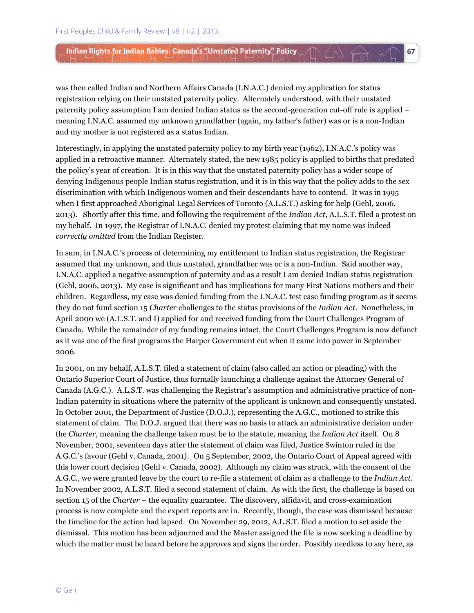was then called Indian and Northern Affairs Canada (I.N.A.C.) denied my application for status registration relying on their unstated paternity policy. Alternately understood, with their unstated paternity policy assumption I am denied Indian status as the second-generation cut-off rule is applied − meaning I.N.A.C. assumed my unknown grandfather (again, my father's father) was or is a non-Indian and my mother is not registered as a status Indian.

**67**

Interestingly, in applying the unstated paternity policy to my birth year (1962), I.N.A.C.'s policy was applied in a retroactive manner. Alternately stated, the new 1985 policy is applied to births that predated the policy's year of creation. It is in this way that the unstated paternity policy has a wider scope of denying Indigenous people Indian status registration, and it is in this way that the policy adds to the sex discrimination with which Indigenous women and their descendants have to contend. It was in 1995 when I first approached Aboriginal Legal Services of Toronto (A.L.S.T.) asking for help (Gehl, 2006, 2013). Shortly after this time, and following the requirement of the *Indian Act*, A.L.S.T. filed a protest on my behalf. In 1997, the Registrar of I.N.A.C. denied my protest claiming that my name was indeed *correctly omitted* from the Indian Register.

In sum, in I.N.A.C.'s process of determining my entitlement to Indian status registration, the Registrar assumed that my unknown, and thus unstated, grandfather was or is a non-Indian. Said another way, I.N.A.C. applied a negative assumption of paternity and as a result I am denied Indian status registration (Gehl, 2006, 2013). My case is significant and has implications for many First Nations mothers and their children. Regardless, my case was denied funding from the I.N.A.C. test case funding program as it seems they do not fund section 15 *Charter* challenges to the status provisions of the *Indian Act*. Nonetheless, in April 2000 we (A.L.S.T. and I) applied for and received funding from the Court Challenges Program of Canada. While the remainder of my funding remains intact, the Court Challenges Program is now defunct as it was one of the first programs the Harper Government cut when it came into power in September 2006.

In 2001, on my behalf, A.L.S.T. filed a statement of claim (also called an action or pleading) with the Ontario Superior Court of Justice, thus formally launching a challenge against the Attorney General of Canada (A.G.C.). A.L.S.T. was challenging the Registrar's assumption and administrative practice of non-Indian paternity in situations where the paternity of the applicant is unknown and consequently unstated. In October 2001, the Department of Justice (D.O.J.), representing the A.G.C., motioned to strike this statement of claim. The D.O.J. argued that there was no basis to attack an administrative decision under the *Charter*, meaning the challenge taken must be to the statute, meaning the *Indian Act* itself. On 8 November, 2001, seventeen days after the statement of claim was filed, Justice Swinton ruled in the A.G.C.'s favour (Gehl v. Canada, 2001). On 5 September, 2002, the Ontario Court of Appeal agreed with this lower court decision (Gehl v. Canada, 2002). Although my claim was struck, with the consent of the A.G.C., we were granted leave by the court to re-file a statement of claim as a challenge to the *Indian Act*. In November 2002, A.L.S.T. filed a second statement of claim. As with the first, the challenge is based on section 15 of the *Charter* – the equality guarantee. The discovery, affidavit, and cross-examination process is now complete and the expert reports are in. Recently, though, the case was dismissed because the timeline for the action had lapsed. On November 29, 2012, A.L.S.T. filed a motion to set aside the dismissal. This motion has been adjourned and the Master assigned the file is now seeking a deadline by which the matter must be heard before he approves and signs the order. Possibly needless to say here, as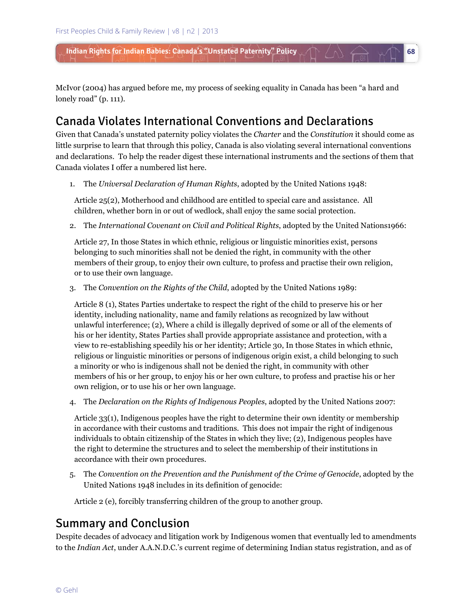McIvor (2004) has argued before me, my process of seeking equality in Canada has been "a hard and lonely road" (p. 111).

**68**

# Canada Violates International Conventions and Declarations

Given that Canada's unstated paternity policy violates the *Charter* and the *Constitution* it should come as little surprise to learn that through this policy, Canada is also violating several international conventions and declarations. To help the reader digest these international instruments and the sections of them that Canada violates I offer a numbered list here.

1. The *Universal Declaration of Human Rights*, adopted by the United Nations 1948:

Article 25(2), Motherhood and childhood are entitled to special care and assistance. All children, whether born in or out of wedlock, shall enjoy the same social protection.

2. The *International Covenant on Civil and Political Rights*, adopted by the United Nations1966:

Article 27, In those States in which ethnic, religious or linguistic minorities exist, persons belonging to such minorities shall not be denied the right, in community with the other members of their group, to enjoy their own culture, to profess and practise their own religion, or to use their own language.

3. The *Convention on the Rights of the Child*, adopted by the United Nations 1989:

Article 8 (1), States Parties undertake to respect the right of the child to preserve his or her identity, including nationality, name and family relations as recognized by law without unlawful interference; (2), Where a child is illegally deprived of some or all of the elements of his or her identity, States Parties shall provide appropriate assistance and protection, with a view to re-establishing speedily his or her identity; Article 30, In those States in which ethnic, religious or linguistic minorities or persons of indigenous origin exist, a child belonging to such a minority or who is indigenous shall not be denied the right, in community with other members of his or her group, to enjoy his or her own culture, to profess and practise his or her own religion, or to use his or her own language.

4. The *Declaration on the Rights of Indigenous Peoples*, adopted by the United Nations 2007:

Article 33(1), Indigenous peoples have the right to determine their own identity or membership in accordance with their customs and traditions. This does not impair the right of indigenous individuals to obtain citizenship of the States in which they live; (2), Indigenous peoples have the right to determine the structures and to select the membership of their institutions in accordance with their own procedures.

5. The *Convention on the Prevention and the Punishment of the Crime of Genocide*, adopted by the United Nations 1948 includes in its definition of genocide:

Article 2 (e), forcibly transferring children of the group to another group.

### Summary and Conclusion

Despite decades of advocacy and litigation work by Indigenous women that eventually led to amendments to the *Indian Act*, under A.A.N.D.C.'s current regime of determining Indian status registration, and as of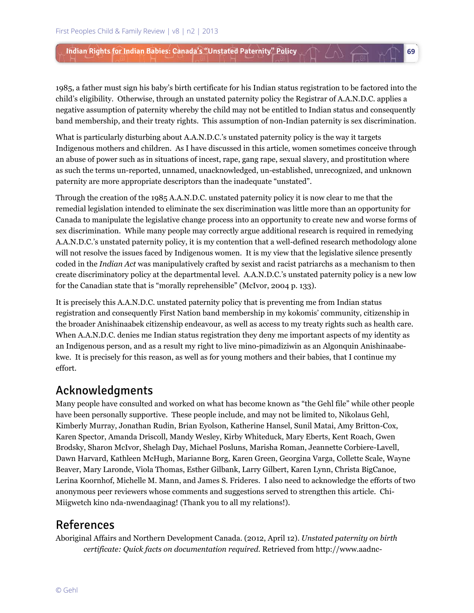1985, a father must sign his baby's birth certificate for his Indian status registration to be factored into the child's eligibility. Otherwise, through an unstated paternity policy the Registrar of A.A.N.D.C. applies a negative assumption of paternity whereby the child may not be entitled to Indian status and consequently band membership, and their treaty rights. This assumption of non-Indian paternity is sex discrimination.

**69**

What is particularly disturbing about A.A.N.D.C.'s unstated paternity policy is the way it targets Indigenous mothers and children. As I have discussed in this article, women sometimes conceive through an abuse of power such as in situations of incest, rape, gang rape, sexual slavery, and prostitution where as such the terms un-reported, unnamed, unacknowledged, un-established, unrecognized, and unknown paternity are more appropriate descriptors than the inadequate "unstated".

Through the creation of the 1985 A.A.N.D.C. unstated paternity policy it is now clear to me that the remedial legislation intended to eliminate the sex discrimination was little more than an opportunity for Canada to manipulate the legislative change process into an opportunity to create new and worse forms of sex discrimination. While many people may correctly argue additional research is required in remedying A.A.N.D.C.'s unstated paternity policy, it is my contention that a well-defined research methodology alone will not resolve the issues faced by Indigenous women. It is my view that the legislative silence presently coded in the *Indian Act* was manipulatively crafted by sexist and racist patriarchs as a mechanism to then create discriminatory policy at the departmental level. A.A.N.D.C.'s unstated paternity policy is a new low for the Canadian state that is "morally reprehensible" (McIvor, 2004 p. 133).

It is precisely this A.A.N.D.C. unstated paternity policy that is preventing me from Indian status registration and consequently First Nation band membership in my kokomis' community, citizenship in the broader Anishinaabek citizenship endeavour, as well as access to my treaty rights such as health care. When A.A.N.D.C. denies me Indian status registration they deny me important aspects of my identity as an Indigenous person, and as a result my right to live mino-pimadiziwin as an Algonquin Anishinaabekwe. It is precisely for this reason, as well as for young mothers and their babies, that I continue my effort.

### Acknowledgments

Many people have consulted and worked on what has become known as "the Gehl file" while other people have been personally supportive. These people include, and may not be limited to, Nikolaus Gehl, Kimberly Murray, Jonathan Rudin, Brian Eyolson, Katherine Hansel, Sunil Matai, Amy Britton-Cox, Karen Spector, Amanda Driscoll, Mandy Wesley, Kirby Whiteduck, Mary Eberts, Kent Roach, Gwen Brodsky, Sharon McIvor, Shelagh Day, Michael Posluns, Marisha Roman, Jeannette Corbiere-Lavell, Dawn Harvard, Kathleen McHugh, Marianne Borg, Karen Green, Georgina Varga, Collette Scale, Wayne Beaver, Mary Laronde, Viola Thomas, Esther Gilbank, Larry Gilbert, Karen Lynn, Christa BigCanoe, Lerina Koornhof, Michelle M. Mann, and James S. Frideres. I also need to acknowledge the efforts of two anonymous peer reviewers whose comments and suggestions served to strengthen this article. Chi-Miigwetch kino nda-nwendaaginag! (Thank you to all my relations!).

### References

Aboriginal Affairs and Northern Development Canada. (2012, April 12). *Unstated paternity on birth certificate: Quick facts on documentation required*. Retrieved from http://www.aadnc-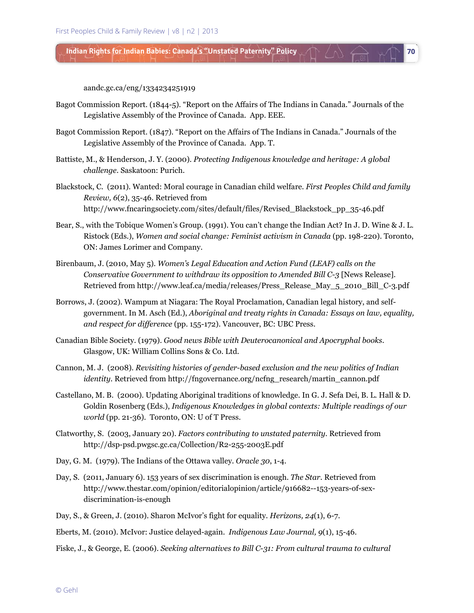aandc.gc.ca/eng/1334234251919

Bagot Commission Report. (1844-5). "Report on the Affairs of The Indians in Canada." Journals of the Legislative Assembly of the Province of Canada. App. EEE.

**70**

- Bagot Commission Report. (1847). "Report on the Affairs of The Indians in Canada." Journals of the Legislative Assembly of the Province of Canada. App. T.
- Battiste, M., & Henderson, J. Y. (2000). *Protecting Indigenous knowledge and heritage: A global challenge*. Saskatoon: Purich.
- Blackstock, C. (2011). Wanted: Moral courage in Canadian child welfare. *First Peoples Child and family Review, 6*(2), 35-46. Retrieved from http://www.fncaringsociety.com/sites/default/files/Revised\_Blackstock\_pp\_35-46.pdf
- Bear, S., with the Tobique Women's Group. (1991). You can't change the Indian Act? In J. D. Wine & J. L. Ristock (Eds.), *Women and social change: Feminist activism in Canada* (pp. 198-220). Toronto, ON: James Lorimer and Company.
- Birenbaum, J. (2010, May 5). *Women's Legal Education and Action Fund (LEAF) calls on the Conservative Government to withdraw its opposition to Amended Bill C-3* [News Release]. Retrieved from http://www.leaf.ca/media/releases/Press\_Release\_May\_5\_2010\_Bill\_C-3.pdf
- Borrows, J. (2002). Wampum at Niagara: The Royal Proclamation, Canadian legal history, and selfgovernment. In M. Asch (Ed.), *Aboriginal and treaty rights in Canada: Essays on law, equality, and respect for difference* (pp. 155-172). Vancouver, BC: UBC Press.
- Canadian Bible Society. (1979). *Good news Bible with Deuterocanonical and Apocryphal books*. Glasgow, UK: William Collins Sons & Co. Ltd.
- Cannon, M. J. (2008). *Revisiting histories of gender-based exclusion and the new politics of Indian identity*. Retrieved from http://fngovernance.org/ncfng\_research/martin\_cannon.pdf
- Castellano, M. B. (2000). Updating Aboriginal traditions of knowledge. In G. J. Sefa Dei, B. L. Hall & D. Goldin Rosenberg (Eds.), *Indigenous Knowledges in global contexts: Multiple readings of our world* (pp. 21-36). Toronto, ON: U of T Press.
- Clatworthy, S. (2003, January 20). *Factors contributing to unstated paternity*. Retrieved from http://dsp-psd.pwgsc.gc.ca/Collection/R2-255-2003E.pdf
- Day, G. M. (1979). The Indians of the Ottawa valley. *Oracle 30*, 1-4.
- Day, S. (2011, January 6). 153 years of sex discrimination is enough. *The Star*. Retrieved from http://www.thestar.com/opinion/editorialopinion/article/916682--153-years-of-sexdiscrimination-is-enough
- Day, S., & Green, J. (2010). Sharon McIvor's fight for equality. *Herizons, 24*(1), 6-7.
- Eberts, M. (2010). McIvor: Justice delayed-again. *Indigenous Law Journal, 9*(1), 15-46.
- Fiske, J., & George, E. (2006). *Seeking alternatives to Bill C-31: From cultural trauma to cultural*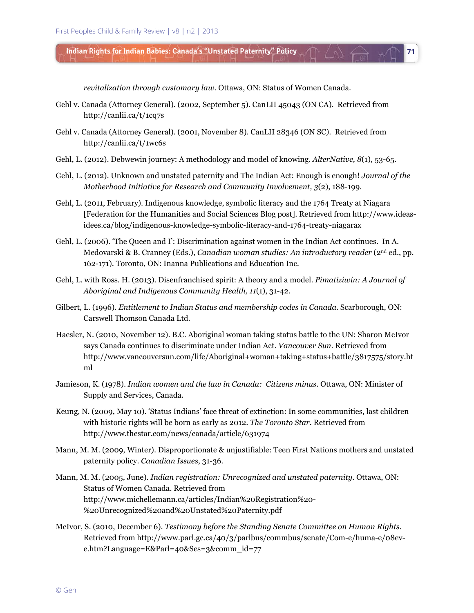*revitalization through customary law.* Ottawa, ON: Status of Women Canada.

Gehl v. Canada (Attorney General). (2002, September 5). CanLII 45043 (ON CA). Retrieved from http://canlii.ca/t/1cq7s

**71**

I LN fai w

- Gehl v. Canada (Attorney General). (2001, November 8). CanLII 28346 (ON SC). Retrieved from http://canlii.ca/t/1wc6s
- Gehl, L. (2012). Debwewin journey: A methodology and model of knowing. *AlterNative, 8*(1), 53-65.
- Gehl, L. (2012). Unknown and unstated paternity and The Indian Act: Enough is enough! *Journal of the Motherhood Initiative for Research and Community Involvement, 3*(2), 188-199.
- Gehl, L. (2011, February). Indigenous knowledge, symbolic literacy and the 1764 Treaty at Niagara [Federation for the Humanities and Social Sciences Blog post]. Retrieved from http://www.ideasidees.ca/blog/indigenous-knowledge-symbolic-literacy-and-1764-treaty-niagarax
- Gehl, L. (2006). 'The Queen and I': Discrimination against women in the Indian Act continues. In A. Medovarski & B. Cranney (Eds.), *Canadian woman studies: An introductory reader* (2nd ed., pp. 162-171). Toronto, ON: Inanna Publications and Education Inc.
- Gehl, L. with Ross. H. (2013). Disenfranchised spirit: A theory and a model. *Pimatiziwin: A Journal of Aboriginal and Indigenous Community Health, 11*(1), 31-42.
- Gilbert, L. (1996). *Entitlement to Indian Status and membership codes in Canada*. Scarborough, ON: Carswell Thomson Canada Ltd.
- Haesler, N. (2010, November 12). B.C. Aboriginal woman taking status battle to the UN: Sharon McIvor says Canada continues to discriminate under Indian Act. *Vancouver Sun*. Retrieved from http://www.vancouversun.com/life/Aboriginal+woman+taking+status+battle/3817575/story.ht ml
- Jamieson, K. (1978). *Indian women and the law in Canada: Citizens minus*. Ottawa, ON: Minister of Supply and Services, Canada.
- Keung, N. (2009, May 10). 'Status Indians' face threat of extinction: In some communities, last children with historic rights will be born as early as 2012. *The Toronto Star*. Retrieved from http://www.thestar.com/news/canada/article/631974
- Mann, M. M. (2009, Winter). Disproportionate & unjustifiable: Teen First Nations mothers and unstated paternity policy. *Canadian Issues*, 31-36.
- Mann, M. M. (2005, June). *Indian registration: Unrecognized and unstated paternity*. Ottawa, ON: Status of Women Canada. Retrieved from http://www.michellemann.ca/articles/Indian%20Registration%20- %20Unrecognized%20and%20Unstated%20Paternity.pdf
- McIvor, S. (2010, December 6). *Testimony before the Standing Senate Committee on Human Rights*. Retrieved from http://www.parl.gc.ca/40/3/parlbus/commbus/senate/Com-e/huma-e/08eve.htm?Language=E&Parl=40&Ses=3&comm\_id=77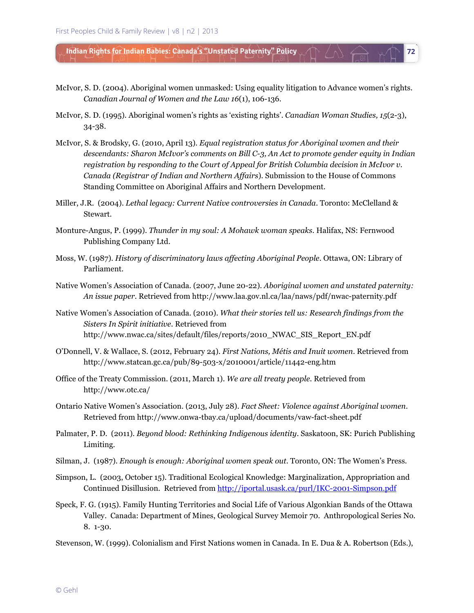McIvor, S. D. (2004). Aboriginal women unmasked: Using equality litigation to Advance women's rights. *Canadian Journal of Women and the Law 16*(1), 106-136.

**72**

ILN <del>(a</del>

- McIvor, S. D. (1995). Aboriginal women's rights as 'existing rights'. *Canadian Woman Studies, 15*(2-3), 34-38.
- McIvor, S. & Brodsky, G. (2010, April 13). *Equal registration status for Aboriginal women and their descendants: Sharon McIvor's comments on Bill C-3, An Act to promote gender equity in Indian registration by responding to the Court of Appeal for British Columbia decision in McIvor v. Canada (Registrar of Indian and Northern Affairs*). Submission to the House of Commons Standing Committee on Aboriginal Affairs and Northern Development.
- Miller, J.R. (2004). *Lethal legacy: Current Native controversies in Canada*. Toronto: McClelland & Stewart.
- Monture-Angus, P. (1999). *Thunder in my soul: A Mohawk woman speaks*. Halifax, NS: Fernwood Publishing Company Ltd.
- Moss, W. (1987). *History of discriminatory laws affecting Aboriginal People*. Ottawa, ON: Library of Parliament.
- Native Women's Association of Canada. (2007, June 20-22). *Aboriginal women and unstated paternity: An issue paper*. Retrieved from http://www.laa.gov.nl.ca/laa/naws/pdf/nwac-paternity.pdf
- Native Women's Association of Canada. (2010). *What their stories tell us: Research findings from the Sisters In Spirit initiative*. Retrieved from http://www.nwac.ca/sites/default/files/reports/2010\_NWAC\_SIS\_Report\_EN.pdf
- O'Donnell, V. & Wallace, S. (2012, February 24). *First Nations, Métis and Inuit women*. Retrieved from http://www.statcan.gc.ca/pub/89-503-x/2010001/article/11442-eng.htm
- Office of the Treaty Commission. (2011, March 1). *We are all treaty people*. Retrieved from http://www.otc.ca/
- Ontario Native Women's Association. (2013, July 28). *Fact Sheet: Violence against Aboriginal women*. Retrieved from http://www.onwa-tbay.ca/upload/documents/vaw-fact-sheet.pdf
- Palmater, P. D. (2011). *Beyond blood: Rethinking Indigenous identity*. Saskatoon, SK: Purich Publishing Limiting.
- Silman, J. (1987). *Enough is enough: Aboriginal women speak out*. Toronto, ON: The Women's Press.
- Simpson, L. (2003, October 15). Traditional Ecological Knowledge: Marginalization, Appropriation and Continued Disillusion. Retrieved from http://iportal.usask.ca/purl/IKC-2001-Simpson.pdf
- Speck, F. G. (1915). Family Hunting Territories and Social Life of Various Algonkian Bands of the Ottawa Valley. Canada: Department of Mines, Geological Survey Memoir 70. Anthropological Series No. 8. 1-30.
- Stevenson, W. (1999). Colonialism and First Nations women in Canada. In E. Dua & A. Robertson (Eds.),